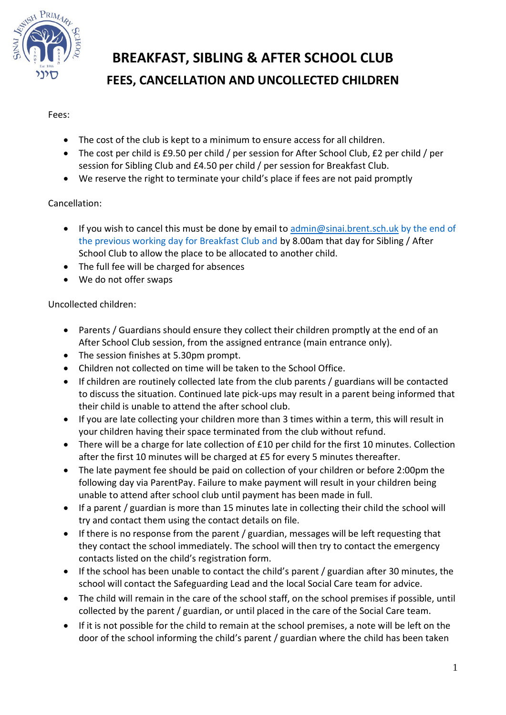

# **BREAKFAST, SIBLING & AFTER SCHOOL CLUB FEES, CANCELLATION AND UNCOLLECTED CHILDREN**

#### Fees:

- The cost of the club is kept to a minimum to ensure access for all children.
- The cost per child is £9.50 per child / per session for After School Club, £2 per child / per session for Sibling Club and £4.50 per child / per session for Breakfast Club.
- We reserve the right to terminate your child's place if fees are not paid promptly

### Cancellation:

- If you wish to cancel this must be done by email to  $\frac{1}{2}$  [admin@sinai.brent.sch.uk](mailto:admin@sinai.brent.sch.uk) by the end of the previous working day for Breakfast Club and by 8.00am that day for Sibling / After School Club to allow the place to be allocated to another child.
- The full fee will be charged for absences
- We do not offer swaps

#### Uncollected children:

- Parents / Guardians should ensure they collect their children promptly at the end of an After School Club session, from the assigned entrance (main entrance only).
- The session finishes at 5.30pm prompt.
- Children not collected on time will be taken to the School Office.
- If children are routinely collected late from the club parents / guardians will be contacted to discuss the situation. Continued late pick-ups may result in a parent being informed that their child is unable to attend the after school club.
- If you are late collecting your children more than 3 times within a term, this will result in your children having their space terminated from the club without refund.
- There will be a charge for late collection of £10 per child for the first 10 minutes. Collection after the first 10 minutes will be charged at £5 for every 5 minutes thereafter.
- The late payment fee should be paid on collection of your children or before 2:00pm the following day via ParentPay. Failure to make payment will result in your children being unable to attend after school club until payment has been made in full.
- If a parent / guardian is more than 15 minutes late in collecting their child the school will try and contact them using the contact details on file.
- If there is no response from the parent / guardian, messages will be left requesting that they contact the school immediately. The school will then try to contact the emergency contacts listed on the child's registration form.
- If the school has been unable to contact the child's parent / guardian after 30 minutes, the school will contact the Safeguarding Lead and the local Social Care team for advice.
- The child will remain in the care of the school staff, on the school premises if possible, until collected by the parent / guardian, or until placed in the care of the Social Care team.
- If it is not possible for the child to remain at the school premises, a note will be left on the door of the school informing the child's parent / guardian where the child has been taken